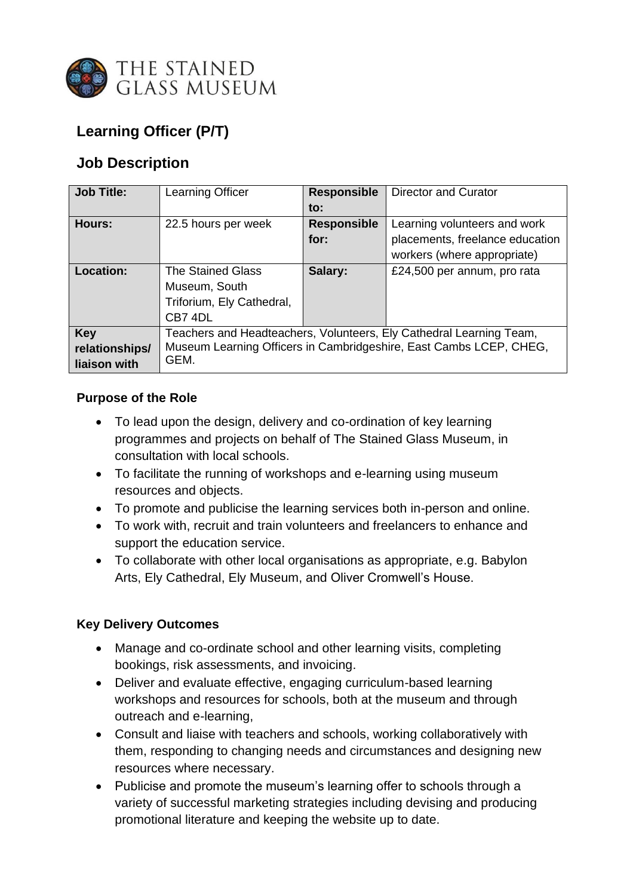

# **Learning Officer (P/T)**

## **Job Description**

| <b>Job Title:</b>                            | <b>Learning Officer</b>                                                                                                                           | <b>Responsible</b> | <b>Director and Curator</b>     |
|----------------------------------------------|---------------------------------------------------------------------------------------------------------------------------------------------------|--------------------|---------------------------------|
|                                              |                                                                                                                                                   | $\mathsf{to}$ :    |                                 |
| Hours:                                       | 22.5 hours per week                                                                                                                               | <b>Responsible</b> | Learning volunteers and work    |
|                                              |                                                                                                                                                   | for:               | placements, freelance education |
|                                              |                                                                                                                                                   |                    | workers (where appropriate)     |
| <b>Location:</b>                             | <b>The Stained Glass</b>                                                                                                                          | Salary:            | £24,500 per annum, pro rata     |
|                                              | Museum, South                                                                                                                                     |                    |                                 |
|                                              | Triforium, Ely Cathedral,                                                                                                                         |                    |                                 |
|                                              | CB7 4DL                                                                                                                                           |                    |                                 |
| <b>Key</b><br>relationships/<br>liaison with | Teachers and Headteachers, Volunteers, Ely Cathedral Learning Team,<br>Museum Learning Officers in Cambridgeshire, East Cambs LCEP, CHEG,<br>GEM. |                    |                                 |

## **Purpose of the Role**

- To lead upon the design, delivery and co-ordination of key learning programmes and projects on behalf of The Stained Glass Museum, in consultation with local schools.
- To facilitate the running of workshops and e-learning using museum resources and objects.
- To promote and publicise the learning services both in-person and online.
- To work with, recruit and train volunteers and freelancers to enhance and support the education service.
- To collaborate with other local organisations as appropriate, e.g. Babylon Arts, Ely Cathedral, Ely Museum, and Oliver Cromwell's House.

## **Key Delivery Outcomes**

- Manage and co-ordinate school and other learning visits, completing bookings, risk assessments, and invoicing.
- Deliver and evaluate effective, engaging curriculum-based learning workshops and resources for schools, both at the museum and through outreach and e-learning,
- Consult and liaise with teachers and schools, working collaboratively with them, responding to changing needs and circumstances and designing new resources where necessary.
- Publicise and promote the museum's learning offer to schools through a variety of successful marketing strategies including devising and producing promotional literature and keeping the website up to date.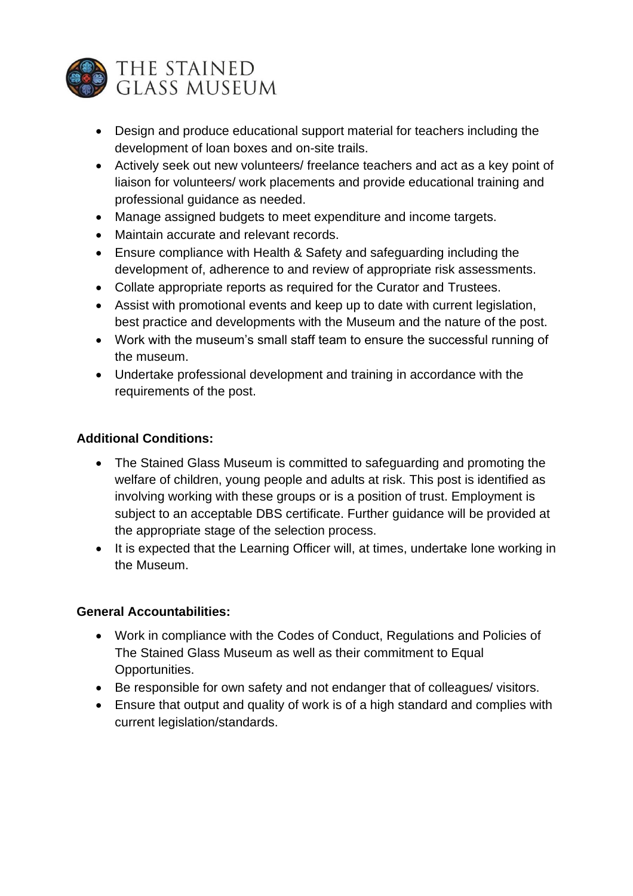

- Design and produce educational support material for teachers including the development of loan boxes and on-site trails.
- Actively seek out new volunteers/ freelance teachers and act as a key point of liaison for volunteers/ work placements and provide educational training and professional guidance as needed.
- Manage assigned budgets to meet expenditure and income targets.
- Maintain accurate and relevant records.
- Ensure compliance with Health & Safety and safeguarding including the development of, adherence to and review of appropriate risk assessments.
- Collate appropriate reports as required for the Curator and Trustees.
- Assist with promotional events and keep up to date with current legislation, best practice and developments with the Museum and the nature of the post.
- Work with the museum's small staff team to ensure the successful running of the museum.
- Undertake professional development and training in accordance with the requirements of the post.

## **Additional Conditions:**

- The Stained Glass Museum is committed to safeguarding and promoting the welfare of children, young people and adults at risk. This post is identified as involving working with these groups or is a position of trust. Employment is subject to an acceptable DBS certificate. Further guidance will be provided at the appropriate stage of the selection process.
- It is expected that the Learning Officer will, at times, undertake lone working in the Museum.

## **General Accountabilities:**

- Work in compliance with the Codes of Conduct, Regulations and Policies of The Stained Glass Museum as well as their commitment to Equal Opportunities.
- Be responsible for own safety and not endanger that of colleagues/ visitors.
- Ensure that output and quality of work is of a high standard and complies with current legislation/standards.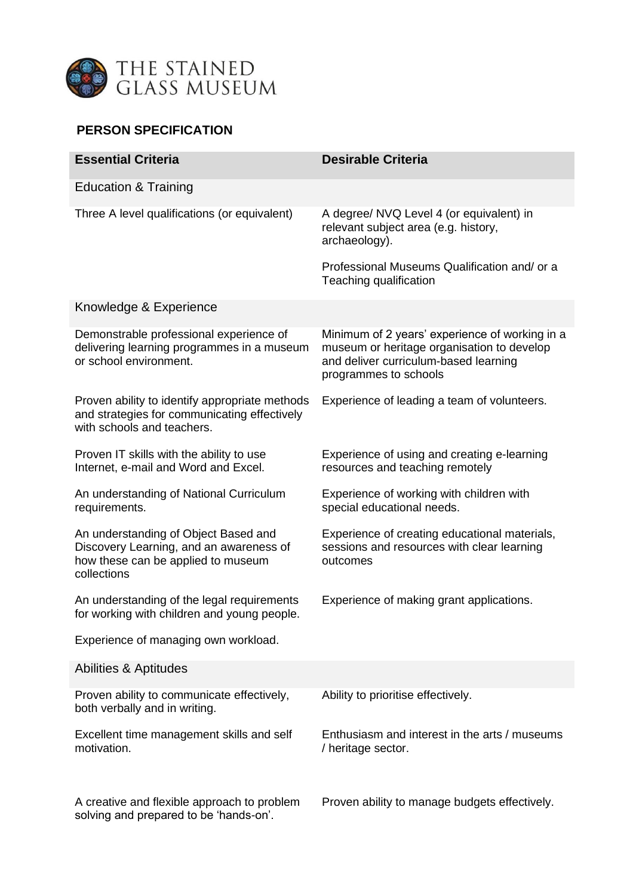

## **PERSON SPECIFICATION**

| <b>Essential Criteria</b>                                                                                                            | <b>Desirable Criteria</b>                                                                                                                                      |  |  |  |
|--------------------------------------------------------------------------------------------------------------------------------------|----------------------------------------------------------------------------------------------------------------------------------------------------------------|--|--|--|
| <b>Education &amp; Training</b>                                                                                                      |                                                                                                                                                                |  |  |  |
| Three A level qualifications (or equivalent)                                                                                         | A degree/ NVQ Level 4 (or equivalent) in<br>relevant subject area (e.g. history,<br>archaeology).                                                              |  |  |  |
|                                                                                                                                      | Professional Museums Qualification and/ or a<br>Teaching qualification                                                                                         |  |  |  |
| Knowledge & Experience                                                                                                               |                                                                                                                                                                |  |  |  |
| Demonstrable professional experience of<br>delivering learning programmes in a museum<br>or school environment.                      | Minimum of 2 years' experience of working in a<br>museum or heritage organisation to develop<br>and deliver curriculum-based learning<br>programmes to schools |  |  |  |
| Proven ability to identify appropriate methods<br>and strategies for communicating effectively<br>with schools and teachers.         | Experience of leading a team of volunteers.                                                                                                                    |  |  |  |
| Proven IT skills with the ability to use<br>Internet, e-mail and Word and Excel.                                                     | Experience of using and creating e-learning<br>resources and teaching remotely                                                                                 |  |  |  |
| An understanding of National Curriculum<br>requirements.                                                                             | Experience of working with children with<br>special educational needs.                                                                                         |  |  |  |
| An understanding of Object Based and<br>Discovery Learning, and an awareness of<br>how these can be applied to museum<br>collections | Experience of creating educational materials,<br>sessions and resources with clear learning<br>outcomes                                                        |  |  |  |
| An understanding of the legal requirements<br>for working with children and young people.                                            | Experience of making grant applications.                                                                                                                       |  |  |  |
| Experience of managing own workload.                                                                                                 |                                                                                                                                                                |  |  |  |
| Abilities & Aptitudes                                                                                                                |                                                                                                                                                                |  |  |  |
| Proven ability to communicate effectively,<br>both verbally and in writing.                                                          | Ability to prioritise effectively.                                                                                                                             |  |  |  |
| Excellent time management skills and self<br>motivation.                                                                             | Enthusiasm and interest in the arts / museums<br>/ heritage sector.                                                                                            |  |  |  |
| A creative and flexible approach to problem<br>solving and prepared to be 'hands-on'.                                                | Proven ability to manage budgets effectively.                                                                                                                  |  |  |  |